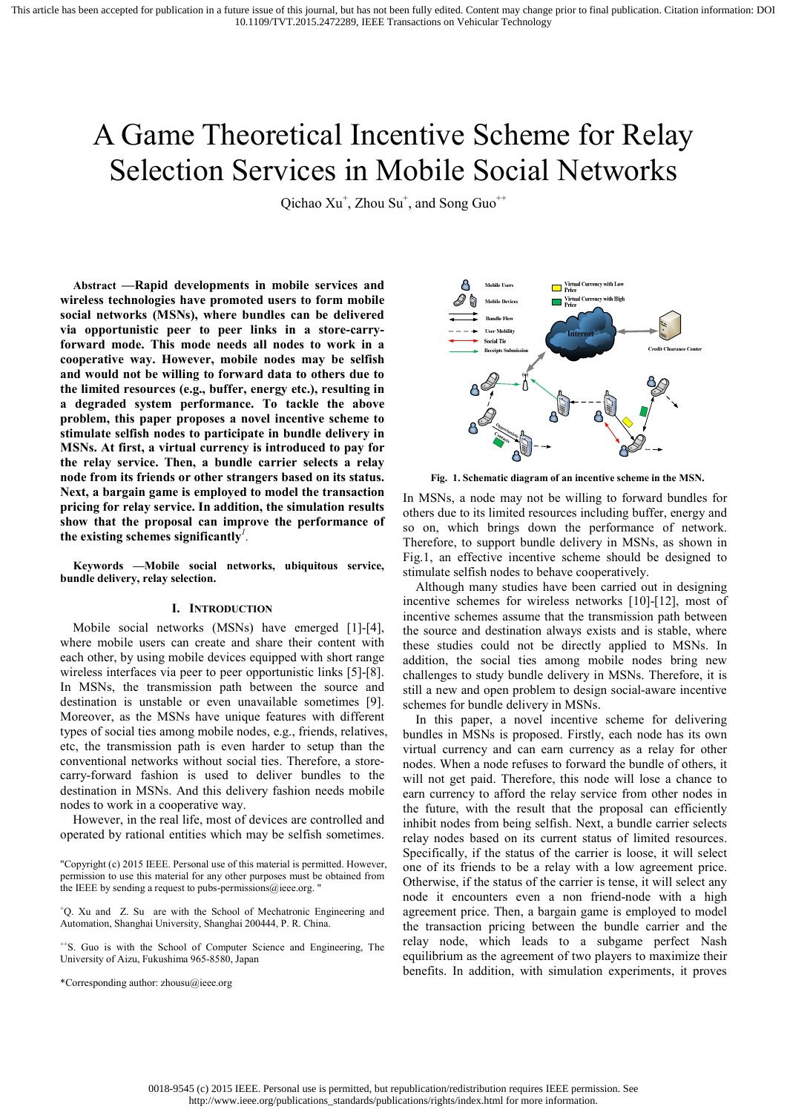# A Game Theoretical Incentive Scheme for Relay Selection Services in Mobile Social Networks

Qichao Xu<sup>+</sup>, Zhou Su<sup>+</sup>, and Song Guo<sup>++</sup>

**Abstract** *—* **Rapid developments in mobile services and wireless technologies have promoted users to form mobile social networks (MSNs), where bundles can be delivered via opportunistic peer to peer links in a store-carryforward mode. This mode needs all nodes to work in a cooperative way. However, mobile nodes may be selfish and would not be willing to forward data to others due to the limited resources (e.g., buffer, energy etc.), resulting in a degraded system performance. To tackle the above problem, this paper proposes a novel incentive scheme to stimulate selfish nodes to participate in bundle delivery in MSNs. At first, a virtual currency is introduced to pay for the relay service. Then, a bundle carrier selects a relay node from its friends or other strangers based on its status. Next, a bargain game is employed to model the transaction pricing for relay service. In addition, the simulation results show that the proposal can improve the performance of the existing schemes significantly** *1 .*

**Keywords — Mobile social networks, ubiquitous service, bundle delivery, relay selection.**

## **I. INTRODUCTION**

Mobile social networks (MSNs) have emerged [1]-[4], where mobile users can create and share their content with each other, by using mobile devices equipped with short range wireless interfaces via peer to peer opportunistic links [5]-[8]. In MSNs, the transmission path between the source and destination is unstable or even unavailable sometimes [9]. Moreover, as the MSNs have unique features with different types of social ties among mobile nodes, e.g., friends, relatives, etc, the transmission path is even harder to setup than the conventional networks without social ties. Therefore, a storecarry-forward fashion is used to deliver bundles to the destination in MSNs. And this delivery fashion needs mobile nodes to work in a cooperative way.

However, in the real life, most of devices are controlled and operated by rational entities which may be selfish sometimes.

"Copyright (c) 2015 IEEE. Personal use of this material is permitted. However, permission to use this material for any other purposes must be obtained from the IEEE by sending a request to pubs-permissions@ieee.org.

<sup>+</sup>Q. Xu and Z. Su are with the School of Mechatronic Engineering and Automation, Shanghai University, Shanghai 200444, P. R. China.

<sup>++</sup>S. Guo is with the School of Computer Science and Engineering, The University of Aizu, Fukushima 965-8580, Japan

\*Corresponding author: zhousu@ieee.org



**Fig. 1. Schematic diagram of an incentive scheme in the MSN.**

In MSNs, a node may not be willing to forward bundles for others due to its limited resources including buffer, energy and so on, which brings down the performance of network. Therefore, to support bundle delivery in MSNs, as shown in Fig.1, an effective incentive scheme should be designed to stimulate selfish nodes to behave cooperatively.

Although many studies have been carried out in designing incentive schemes for wireless networks [10]-[12], most of incentive schemes assume that the transmission path between the source and destination always exists and is stable, where these studies could not be directly applied to MSNs. In addition, the social ties among mobile nodes bring new challenges to study bundle delivery in MSNs. Therefore, it is still a new and open problem to design social-aware incentive schemes for bundle delivery in MSNs.

In this paper, a novel incentive scheme for delivering bundles in MSNs is proposed. Firstly, each node has its own virtual currency and can earn currency as a relay for other nodes. When a node refuses to forward the bundle of others, it will not get paid. Therefore, this node will lose a chance to earn currency to afford the relay service from other nodes in the future, with the result that the proposal can efficiently inhibit nodes from being selfish. Next, a bundle carrier selects relay nodes based on its current status of limited resources. Specifically, if the status of the carrier is loose, it will select one of its friends to be a relay with a low agreement price. Otherwise, if the status of the carrier is tense, it will select any node it encounters even a non friend-node with a high agreement price. Then, a bargain game is employed to model the transaction pricing between the bundle carrier and the relay node, which leads to a subgame perfect Nash equilibrium as the agreement of two players to maximize their benefits. In addition, with simulation experiments, it proves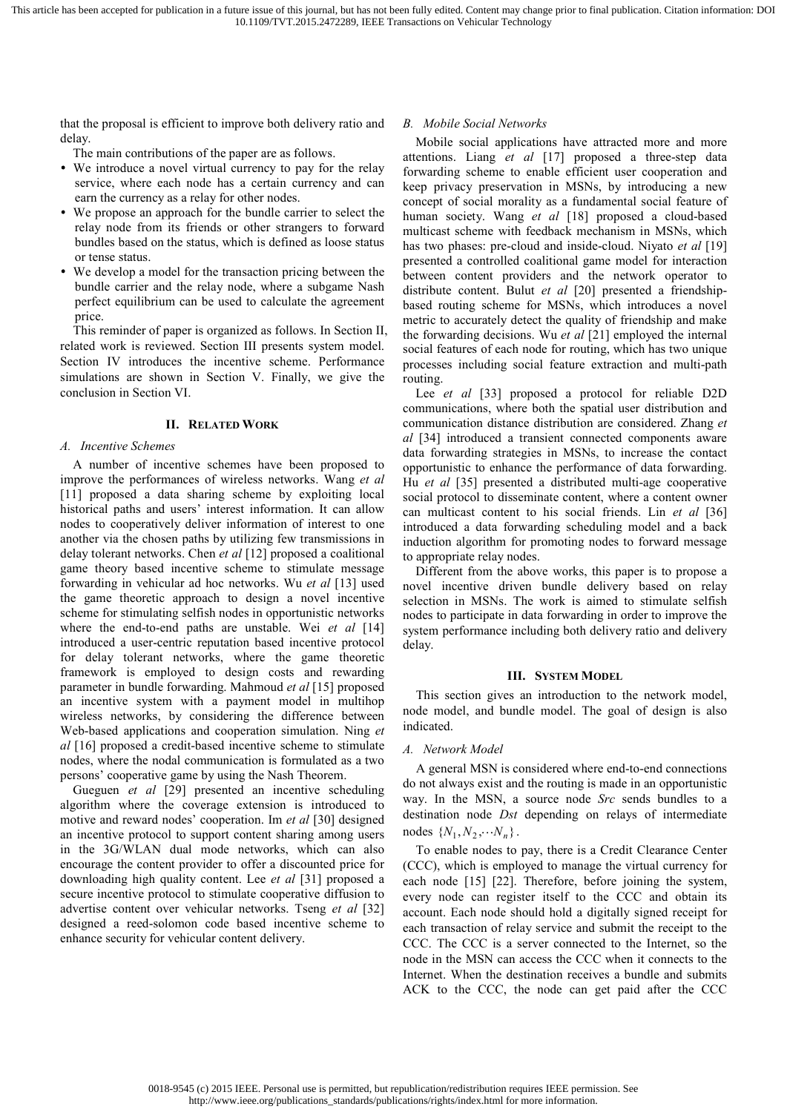that the proposal is efficient to improve both delivery ratio and delay.

The main contributions of the paper are as follows.

- We introduce a novel virtual currency to pay for the relay service, where each node has a certain currency and can earn the currency as a relay for other nodes.
- We propose an approach for the bundle carrier to select the relay node from its friends or other strangers to forward bundles based on the status, which is defined as loose status or tense status.
- We develop a model for the transaction pricing between the bundle carrier and the relay node, where a subgame Nash perfect equilibrium can be used to calculate the agreement price.

This reminder of paper is organized as follows. In Section II, related work is reviewed. Section III presents system model. Section IV introduces the incentive scheme. Performance simulations are shown in Section V. Finally, we give the conclusion in Section VI.

# **II. RELATED WORK**

# *A. Incentive Schemes*

A number of incentive schemes have been proposed to improve the performances of wireless networks. Wang *et al* [11] proposed a data sharing scheme by exploiting local historical paths and users' interest information. It can allow nodes to cooperatively deliver information of interest to one another via the chosen paths by utilizing few transmissions in delay tolerant networks. Chen *et al* [12] proposed a coalitional game theory based incentive scheme to stimulate message forwarding in vehicular ad hoc networks. Wu *et al* [13] used the game theoretic approach to design a novel incentive scheme for stimulating selfish nodes in opportunistic networks where the end-to-end paths are unstable. Wei *et al* [14] introduced a user-centric reputation based incentive protocol for delay tolerant networks, where the game theoretic framework is employed to design costs and rewarding parameter in bundle forwarding. Mahmoud *et al* [15] proposed an incentive system with a payment model in multihop wireless networks, by considering the difference between Web-based applications and cooperation simulation. Ning *et al* [16] proposed a credit-based incentive scheme to stimulate nodes, where the nodal communication is formulated as a two persons'cooperative game by using the Nash Theorem.

Gueguen *et al* [29] presented an incentive scheduling algorithm where the coverage extension is introduced to motive and reward nodes'cooperation. Im *et al* [30] designed an incentive protocol to support content sharing among users in the 3G/WLAN dual mode networks, which can also encourage the content provider to offer a discounted price for downloading high quality content. Lee *et al* [31] proposed a secure incentive protocol to stimulate cooperative diffusion to advertise content over vehicular networks. Tseng *et al* [32] designed a reed-solomon code based incentive scheme to enhance security for vehicular content delivery.

# *B. Mobile Social Networks*

Mobile social applications have attracted more and more attentions. Liang *et al* [17] proposed a three-step data forwarding scheme to enable efficient user cooperation and keep privacy preservation in MSNs, by introducing a new concept of social morality as a fundamental social feature of human society. Wang *et al* [18] proposed a cloud-based multicast scheme with feedback mechanism in MSNs, which has two phases: pre-cloud and inside-cloud. Niyato *et al* [19] presented a controlled coalitional game model for interaction between content providers and the network operator to distribute content. Bulut *et al* [20] presented a friendshipbased routing scheme for MSNs, which introduces a novel metric to accurately detect the quality of friendship and make the forwarding decisions. Wu *et al* [21] employed the internal social features of each node for routing, which has two unique processes including social feature extraction and multi-path routing.

Lee *et al* [33] proposed a protocol for reliable D2D communications, where both the spatial user distribution and communication distance distribution are considered. Zhang *et al* [34] introduced a transient connected components aware data forwarding strategies in MSNs, to increase the contact opportunistic to enhance the performance of data forwarding. Hu *et al* [35] presented a distributed multi-age cooperative social protocol to disseminate content, where a content owner can multicast content to his social friends. Lin *et al* [36] introduced a data forwarding scheduling model and a back induction algorithm for promoting nodes to forward message to appropriate relay nodes.

Different from the above works, this paper is to propose a novel incentive driven bundle delivery based on relay selection in MSNs. The work is aimed to stimulate selfish nodes to participate in data forwarding in order to improve the system performance including both delivery ratio and delivery delay.

# **III. SYSTEM MODEL**

This section gives an introduction to the network model, node model, and bundle model. The goal of design is also indicated.

# *A. Network Model*

A general MSN is considered where end-to-end connections do not always exist and the routing is made in an opportunistic way. In the MSN, a source node *Src* sends bundles to a destination node *Dst* depending on relays of intermediate nodes  $\{N_1, N_2, \cdots N_n\}$ .

To enable nodes to pay, there is a Credit Clearance Center (CCC), which is employed to manage the virtual currency for each node [15] [22]. Therefore, before joining the system, every node can register itself to the CCC and obtain its account. Each node should hold a digitally signed receipt for each transaction of relay service and submit the receipt to the CCC. The CCC is a server connected to the Internet, so the node in the MSN can access the CCC when it connects to the Internet. When the destination receives a bundle and submits ACK to the CCC, the node can get paid after the CCC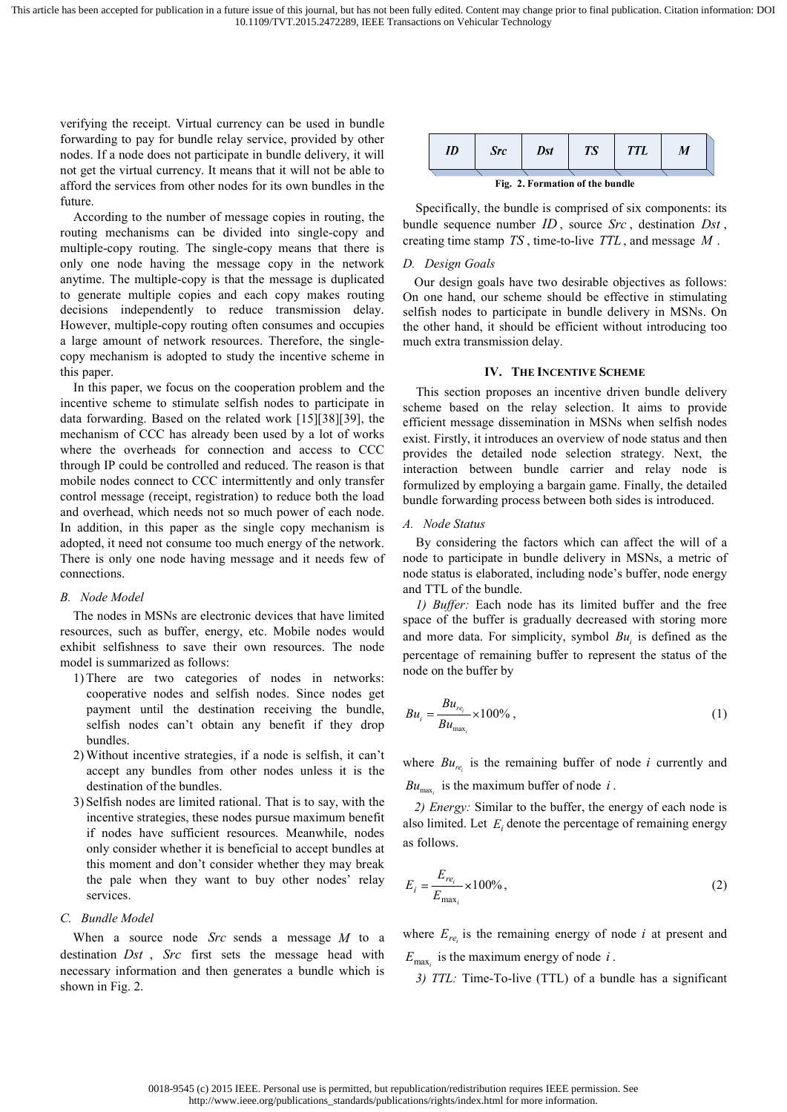verifying the receipt. Virtual currency can be used in bundle forwarding to pay for bundle relay service, provided by other nodes. If a node does not participate in bundle delivery, it will not get the virtual currency. It means that it will not be able to afford the services from other nodes for its own bundles in the future.

According to the number of message copies in routing, the routing mechanisms can be divided into single-copy and multiple-copy routing. The single-copy means that there is only one node having the message copy in the network anytime. The multiple-copy is that the message is duplicated to generate multiple copies and each copy makes routing decisions independently to reduce transmission delay. However, multiple-copy routing often consumes and occupies a large amount of network resources. Therefore, the singlecopy mechanism is adopted to study the incentive scheme in this paper.

In this paper, we focus on the cooperation problem and the incentive scheme to stimulate selfish nodes to participate in data forwarding. Based on the related work [15][38][39], the mechanism of CCC has already been used by a lot of works where the overheads for connection and access to CCC through IP could be controlled and reduced. The reason is that mobile nodes connect to CCC intermittently and only transfer control message (receipt, registration) to reduce both the load and overhead, which needs not so much power of each node. In addition, in this paper as the single copy mechanism is adopted, it need not consume too much energy of the network. There is only one node having message and it needs few of connections.

# *B. Node Model*

The nodes in MSNs are electronic devices that have limited resources, such as buffer, energy, etc. Mobile nodes would exhibit selfishness to save their own resources. The node model is summarized as follows:

- 1) There are two categories of nodes in networks: cooperative nodes and selfish nodes. Since nodes get payment until the destination receiving the bundle, selfish nodes can't obtain any benefit if they drop bundles.
- 2) Without incentive strategies, if a node is selfish, it can't accept any bundles from other nodes unless it is the destination of the bundles.
- 3) Selfish nodes are limited rational. That is to say, with the incentive strategies, these nodes pursue maximum benefit if nodes have sufficient resources. Meanwhile, nodes only consider whether it is beneficial to accept bundles at this moment and don't consider whether they may break the pale when they want to buy other nodes' relay services.

# *C. Bundle Model*

When a source node *Src* sends a message *M* to a destination *Dst* , *Src* first sets the message head with necessary information and then generates a bundle which is shown in Fig. 2.

| ID                              | <i>Src</i> | Dst | ТS | TTI. | M |  |  |
|---------------------------------|------------|-----|----|------|---|--|--|
|                                 |            |     |    |      |   |  |  |
| Fig. 2. Formation of the bundle |            |     |    |      |   |  |  |

Specifically, the bundle is comprised of six components: its bundle sequence number *ID* , source *Src* , destination *Dst* , creating time stamp *TS* , time-to-live *TTL* , and message *M* .

#### *D. Design Goals*

Our design goals have two desirable objectives as follows: On one hand, our scheme should be effective in stimulating selfish nodes to participate in bundle delivery in MSNs. On the other hand, it should be efficient without introducing too much extra transmission delay.

# **IV. THE INCENTIVE SCHEME**

This section proposes an incentive driven bundle delivery scheme based on the relay selection. It aims to provide efficient message dissemination in MSNs when selfish nodes exist. Firstly, it introduces an overview of node status and then provides the detailed node selection strategy. Next, the interaction between bundle carrier and relay node is formulized by employing a bargain game. Finally, the detailed bundle forwarding process between both sides is introduced.

# *A. Node Status*

By considering the factors which can affect the will of a node to participate in bundle delivery in MSNs, a metric of node status is elaborated, including node's buffer, node energy and TTL of the bundle.

*1) Buffer:* Each node has its limited buffer and the free space of the buffer is gradually decreased with storing more and more data. For simplicity, symbol  $Bu_i$  is defined as the percentage of remaining buffer to represent the status of the node on the buffer by

$$
B u_i = \frac{B u_{re_i}}{B u_{\text{max}_i}} \times 100\%,\tag{1}
$$

where  $Bu_{re_i}$  is the remaining buffer of node *i* currently and  $Bu_{\text{max}_i}$  is the maximum buffer of node *i*.

*2) Energy:* Similar to the buffer, the energy of each node is also limited. Let  $E_i$  denote the percentage of remaining energy as follows.

$$
E_i = \frac{E_{re_i}}{E_{\text{max}_i}} \times 100\%,\tag{2}
$$

where  $E_{re_i}$  is the remaining energy of node *i* at present and  $E_{\text{max}_i}$  is the maximum energy of node *i*.

*3) TTL:* Time-To-live (TTL) of a bundle has a significant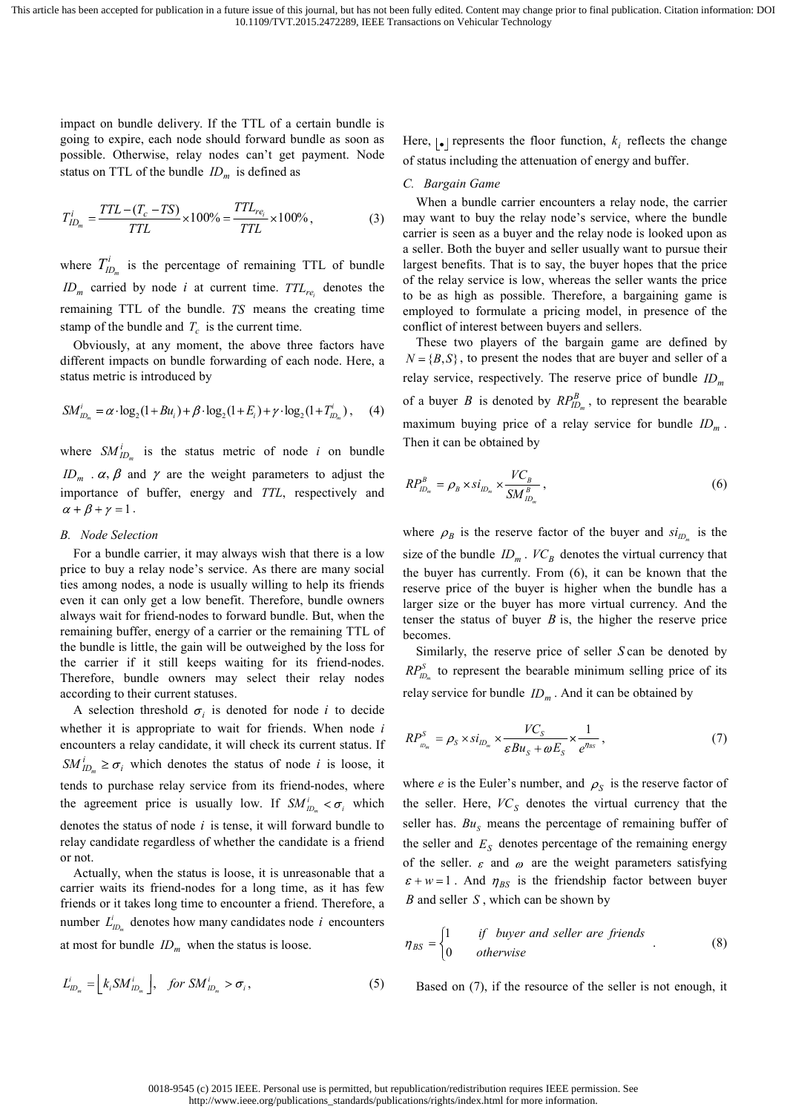impact on bundle delivery. If the TTL of a certain bundle is going to expire, each node should forward bundle as soon as possible. Otherwise, relay nodes can't get payment. Node status on TTL of the bundle  $ID_m$  is defined as

$$
T_{ID_m}^i = \frac{TTL - (T_c - TS)}{TTL} \times 100\% = \frac{TTL_{re_i}}{TTL} \times 100\%,
$$
 (3)

where  $T_{lD_m}$  $T_{ID_m}^i$  is the percentage of remaining TTL of bundle *ID*<sub>*m*</sub> carried by node *i* at current time.  $TTL_{re_i}$  denotes the remaining TTL of the bundle. *TS* means the creating time stamp of the bundle and  $T_c$  is the current time.

Obviously, at any moment, the above three factors have different impacts on bundle forwarding of each node. Here, a status metric is introduced by

$$
SM_{lD_m}^i = \alpha \cdot \log_2(1 + B u_i) + \beta \cdot \log_2(1 + E_i) + \gamma \cdot \log_2(1 + T_{lD_m}^i), \quad (4)
$$

where  $SM_{ID_m}^i$  is the status metric of node *i* on bundle ID<sub>m</sub> .  $\alpha$ ,  $\beta$  and  $\gamma$  are the weight parameters to adjust the importance of buffer, energy and *TTL*, respectively and  $\alpha + \beta + \gamma = 1$ .

# *B. Node Selection*

For a bundle carrier, it may always wish that there is a low price to buy a relay node's service. As there are many social ties among nodes, a node is usually willing to help its friends even it can only get a low benefit. Therefore, bundle owners always wait for friend-nodes to forward bundle. But, when the remaining buffer, energy of a carrier or the remaining TTL of the bundle is little, the gain will be outweighed by the loss for the carrier if it still keeps waiting for its friend-nodes. Therefore, bundle owners may select their relay nodes according to their current statuses.

A selection threshold  $\sigma_i$  is denoted for node *i* to decide whether it is appropriate to wait for friends. When node *i* encounters a relay candidate, it will check its current status. If  $SM_{ID_m}^i \ge \sigma_i$  which denotes the status of node *i* is loose, it tends to purchase relay service from its friend-nodes, where the agreement price is usually low. If  $SM_{D_m}^i < \sigma_i$  which denotes the status of node *i* is tense, it will forward bundle to relay candidate regardless of whether the candidate is a friend or not.

Actually, when the status is loose, it is unreasonable that a carrier waits its friend-nodes for a long time, as it has few friends or it takes long time to encounter a friend. Therefore, a number  $L_{ID_m}^i$  $L_{ID_m}^i$  denotes how many candidates node *i* encounters at most for bundle  $ID_m$  when the status is loose.

$$
L_{ID_m}^{i} = \left[ k_i S M_{ID_m}^{i} \right], \quad \text{for } S M_{ID_m}^{i} > \sigma_i,
$$
\n
$$
\tag{5}
$$

Here,  $\left\lfloor \bullet \right\rfloor$  represents the floor function,  $k_i$  reflects the change of status including the attenuation of energy and buffer.

# *C. Bargain Game*

When a bundle carrier encounters a relay node, the carrier may want to buy the relay node's service, where the bundle carrier is seen as a buyer and the relay node is looked upon as a seller. Both the buyer and seller usually want to pursue their largest benefits. That is to say, the buyer hopes that the price of the relay service is low, whereas the seller wants the price to be as high as possible. Therefore, a bargaining game is employed to formulate a pricing model, in presence of the conflict of interest between buyers and sellers.

These two players of the bargain game are defined by  $N = {B, S}$ , to present the nodes that are buyer and seller of a relay service, respectively. The reserve price of bundle *<sup>m</sup> ID* of a buyer *B* is denoted by  $RP_{ID_m}^B$ , to represent the bearable maximum buying price of a relay service for bundle  $ID_m$ . Then it can be obtained by

$$
RP_{ID_m}^B = \rho_B \times s i_{ID_m} \times \frac{VC_B}{SM_{ID_m}^B},
$$
\n(6)

where  $\rho_B$  is the reserve factor of the buyer and  $si_{I D_m}$  is the size of the bundle  $ID_m$ .  $VC_B$  denotes the virtual currency that the buyer has currently. From (6), it can be known that the reserve price of the buyer is higher when the bundle has a larger size or the buyer has more virtual currency. And the tenser the status of buyer  $B$  is, the higher the reserve price becomes.

Similarly, the reserve price of seller *S* can be denoted by  $RP_{ID_m}^S$  to represent the bearable minimum selling price of its relay service for bundle *ID<sup>m</sup>* . And it can be obtained by

$$
RP_{D_m}^S = \rho_S \times s i_{D_m} \times \frac{VC_S}{\varepsilon B u_S + \omega E_S} \times \frac{1}{e^{\eta_{BS}}},\tag{7}
$$

where *e* is the Euler's number, and  $\rho_S$  is the reserve factor of the seller. Here,  $VC<sub>S</sub>$  denotes the virtual currency that the seller has.  $Bu_s$  means the percentage of remaining buffer of the seller and  $E<sub>S</sub>$  denotes percentage of the remaining energy of the seller.  $\varepsilon$  and  $\omega$  are the weight parameters satisfying  $w = 1$ . And  $\eta_{BS}$  is the friendship factor between buyer *B* and seller *S* , which can be shown by

$$
\eta_{BS} = \begin{cases} 1 & \text{if buyer and seller are friends} \\ 0 & \text{otherwise} \end{cases} \tag{8}
$$

Based on (7), if the resource of the seller is not enough, it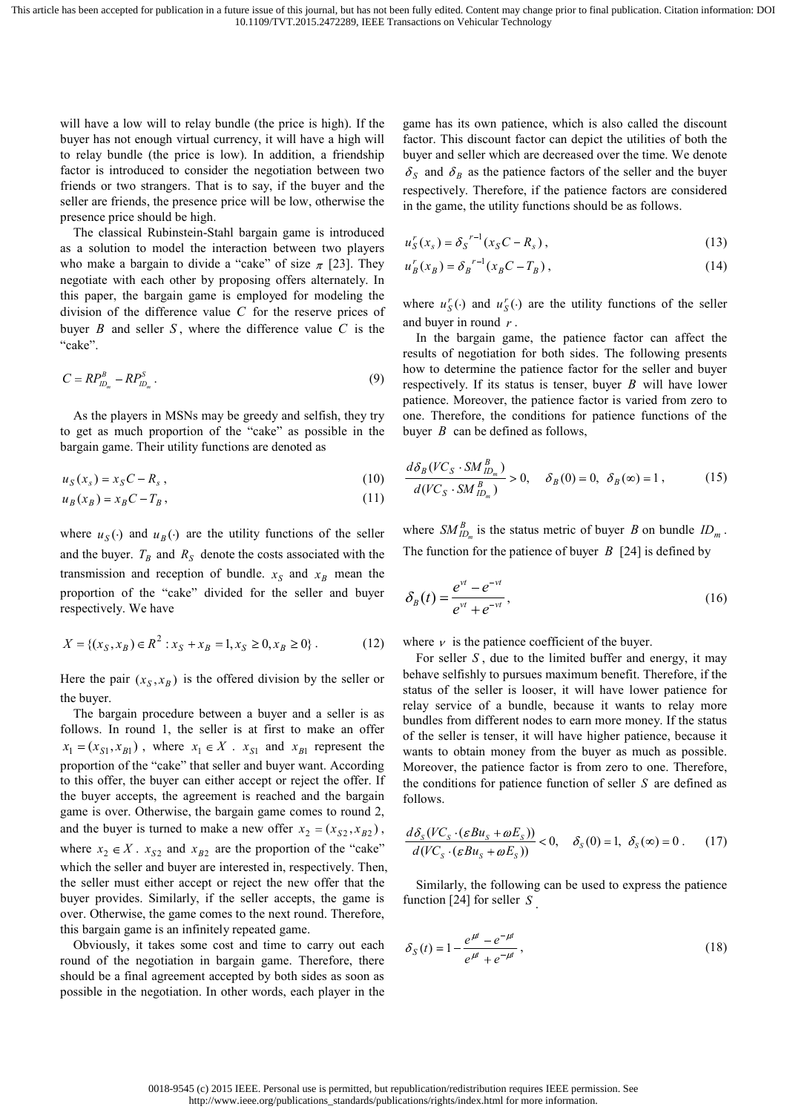will have a low will to relay bundle (the price is high). If the buyer has not enough virtual currency, it will have a high will to relay bundle (the price is low). In addition, a friendship factor is introduced to consider the negotiation between two friends or two strangers. That is to say, if the buyer and the seller are friends, the presence price will be low, otherwise the presence price should be high.

The classical Rubinstein-Stahl bargain game is introduced as a solution to model the interaction between two players who make a bargain to divide a "cake" of size  $\pi$  [23]. They negotiate with each other by proposing offers alternately. In this paper, the bargain game is employed for modeling the division of the difference value *C* for the reserve prices of buyer *B* and seller *S*, where the difference value *C* is the "cake".

$$
C = R P_{D_m}^B - R P_{D_m}^S \,. \tag{9}
$$

As the players in MSNs may be greedy and selfish, they try to get as much proportion of the "cake"as possible in the bargain game. Their utility functions are denoted as

$$
u_S(x_s) = x_S C - R_s \,,\tag{10}
$$

$$
u_B(x_B) = x_B C - T_B, \qquad (11)
$$

where  $u_S(\cdot)$  and  $u_B(\cdot)$  are the utility functions of the seller and the buyer.  $T_B$  and  $R_S$  denote the costs associated with the transmission and reception of bundle.  $x_S$  and  $x_B$  mean the proportion of the "cake" divided for the seller and buyer respectively. We have

$$
X = \{(x_S, x_B) \in R^2 : x_S + x_B = 1, x_S \ge 0, x_B \ge 0\}.
$$
 (12)

Here the pair  $(x_S, x_B)$  is the offered division by the seller or the buyer.

The bargain procedure between a buyer and a seller is as follows. In round 1, the seller is at first to make an offer  $(x_1 = (x_{S1}, x_{B1})$ , where  $x_1 \in X$ .  $x_{S1}$  and  $x_{B1}$  represent the proportion of the "cake" that seller and buyer want. According to this offer, the buyer can either accept or reject the offer. If the buyer accepts, the agreement is reached and the bargain game is over. Otherwise, the bargain game comes to round 2, and the buyer is turned to make a new offer  $x_2 = (x_{S2}, x_{B2})$ , where  $x_2 \in X$ .  $x_{S2}$  and  $x_{B2}$  are the proportion of the "cake" which the seller and buyer are interested in, respectively. Then, the seller must either accept or reject the new offer that the buyer provides. Similarly, if the seller accepts, the game is over. Otherwise, the game comes to the next round. Therefore, this bargain game is an infinitely repeated game.

Obviously, it takes some cost and time to carry out each round of the negotiation in bargain game. Therefore, there should be a final agreement accepted by both sides as soon as possible in the negotiation. In other words, each player in the game has its own patience, which is also called the discount factor. This discount factor can depict the utilities of both the buyer and seller which are decreased over the time. We denote  $S$  and  $S$ <sub>B</sub> as the patience factors of the seller and the buyer respectively. Therefore, if the patience factors are considered in the game, the utility functions should be as follows.

$$
u_S^r(x_s) = \delta_S^{r-1}(x_S C - R_s),
$$
\n(13)

$$
u_B^r(x_B) = \delta_B^{r-1}(x_B C - T_B),
$$
\n(14)

where  $u_S^r(\cdot)$  and  $u_S^r(\cdot)$  are the utility functions of the seller and buyer in round *r* .

In the bargain game, the patience factor can affect the results of negotiation for both sides. The following presents how to determine the patience factor for the seller and buyer respectively. If its status is tenser, buyer *B* will have lower patience. Moreover, the patience factor is varied from zero to one. Therefore, the conditions for patience functions of the buyer *B* can be defined as follows,

$$
\frac{d\delta_B (VC_S \cdot SM_{ID_m}^B)}{d(VC_S \cdot SM_{ID_m}^B)} > 0, \quad \delta_B(0) = 0, \ \delta_B(\infty) = 1, \tag{15}
$$

where  $SM_{ID_m}^B$  is the status metric of buyer *B* on bundle  $ID_m$ . The function for the patience of buyer *B* [24] is defined by

$$
\delta_B(t) = \frac{e^{vt} - e^{-vt}}{e^{vt} + e^{-vt}},
$$
\n(16)

where  $\nu$  is the patience coefficient of the buyer.

For seller *S* , due to the limited buffer and energy, it may behave selfishly to pursues maximum benefit. Therefore, if the status of the seller is looser, it will have lower patience for relay service of a bundle, because it wants to relay more bundles from different nodes to earn more money. If the status of the seller is tenser, it will have higher patience, because it wants to obtain money from the buyer as much as possible. Moreover, the patience factor is from zero to one. Therefore, the conditions for patience function of seller *S* are defined as follows.

$$
\frac{d\delta_s(VC_s \cdot (\varepsilon Bu_s + \omega E_s))}{d(VC_s \cdot (\varepsilon Bu_s + \omega E_s))} < 0, \quad \delta_s(0) = 1, \ \delta_s(\infty) = 0 \ . \tag{17}
$$

Similarly, the following can be used to express the patience function [24] for seller *S* .

$$
\delta_S(t) = 1 - \frac{e^{\mu t} - e^{-\mu t}}{e^{\mu t} + e^{-\mu t}},
$$
\n(18)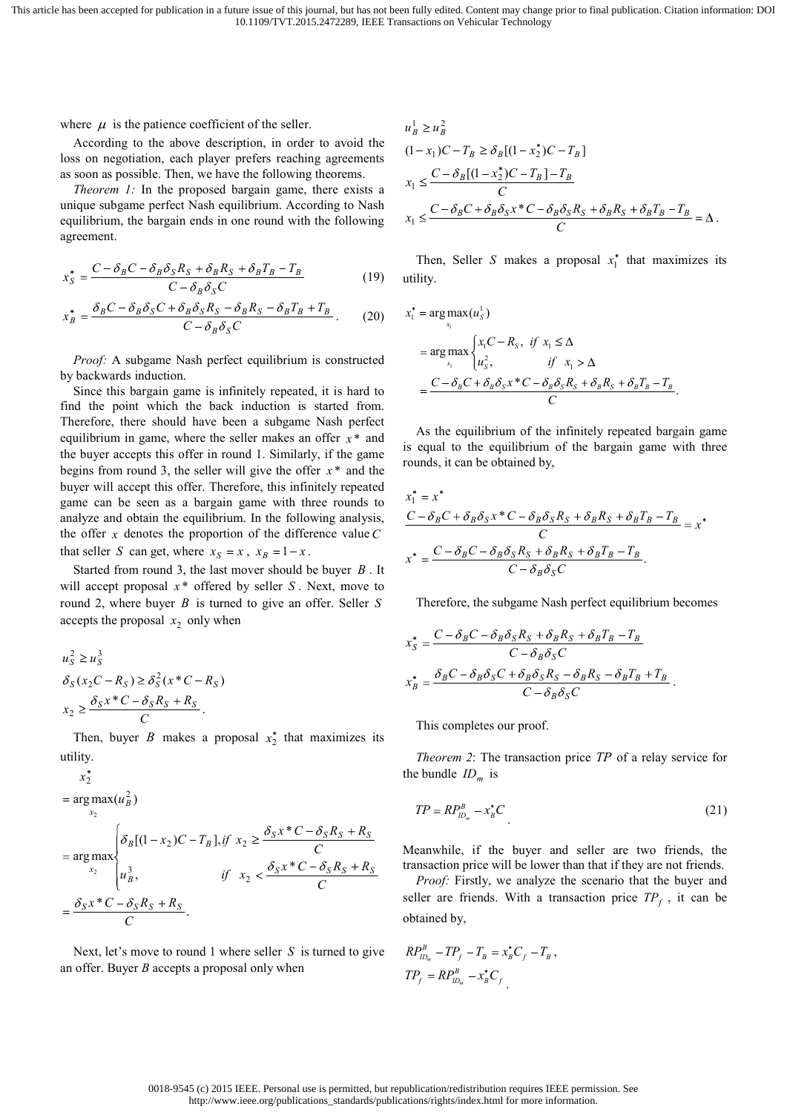where  $\mu$  is the patience coefficient of the seller.

According to the above description, in order to avoid the loss on negotiation, each player prefers reaching agreements as soon as possible. Then, we have the following theorems.

*Theorem 1:* In the proposed bargain game, there exists a unique subgame perfect Nash equilibrium. According to Nash equilibrium, the bargain ends in one round with the following agreement.

$$
x_S^* = \frac{C - \delta_B C - \delta_B \delta_S R_S + \delta_B R_S + \delta_B T_B - T_B}{C - \delta_B \delta_S C} \tag{19}
$$

$$
x_B^* = \frac{\delta_B C - \delta_B \delta_S C + \delta_B \delta_S R_S - \delta_B R_S - \delta_B T_B + T_B}{C - \delta_B \delta_S C}.
$$
 (20)

*Proof:* A subgame Nash perfect equilibrium is constructed by backwards induction.

Since this bargain game is infinitely repeated, it is hard to find the point which the back induction is started from. Therefore, there should have been a subgame Nash perfect equilibrium in game, where the seller makes an offer *x* \* and the buyer accepts this offer in round 1. Similarly, if the game begins from round 3, the seller will give the offer  $x^*$  and the buyer will accept this offer. Therefore, this infinitely repeated game can be seen as a bargain game with three rounds to analyze and obtain the equilibrium. In the following analysis, the offer *x* denotes the proportion of the difference value*C* that seller *S* can get, where  $x_S = x$ ,  $x_B = 1 - x$ .

Started from round 3, the last mover should be buyer *B* . It will accept proposal  $x^*$  offered by seller  $S$ . Next, move to round 2, where buyer *B* is turned to give an offer. Seller *S* accepts the proposal  $x_2$  only when

$$
u_S^2 \ge u_S^3
$$
  
\n
$$
\delta_S(x_2C - R_S) \ge \delta_S^2(x^*C - R_S)
$$
  
\n
$$
x_2 \ge \frac{\delta_S x^*C - \delta_S R_S + R_S}{C}.
$$

Then, buyer *B* makes a proposal  $x_2^*$  that maximizes its utility.

$$
x_2^*
$$
  
= arg max $(u_B^2)$   
= arg max $\begin{cases} \delta_B[(1-x_2)C - T_B], \text{if } x_2 \ge \frac{\delta_S x * C - \delta_S R_S + R_S}{C} \\ u_B^3, & \text{if } x_2 < \frac{\delta_S x * C - \delta_S R_S + R_S}{C} \end{cases}$   
=  $\frac{\delta_S x * C - \delta_S R_S + R_S}{C}$ .

Next, let's move to round 1 where seller *S* is turned to give an offer. Buyer *B* accepts a proposal only when

$$
u_B^1 \ge u_B^2
$$
  
\n
$$
(1 - x_1)C - T_B \ge \delta_B[(1 - x_2^*)C - T_B]
$$
  
\n
$$
x_1 \le \frac{C - \delta_B[(1 - x_2^*)C - T_B] - T_B}{C}
$$
  
\n
$$
x_1 \le \frac{C - \delta_B C + \delta_B \delta_S x^* C - \delta_B \delta_S R_S + \delta_B R_S + \delta_B T_B - T_B}{C} = \Delta.
$$

Then, Seller *S* makes a proposal  $x_1^*$  that maximizes its utility.

$$
x_1^* = \arg \max_{x_1} (u_s^1)
$$
  
= 
$$
\arg \max_{x_1} \begin{cases} x_1C - R_S, & \text{if } x_1 \le \Delta \\ u_s^2, & \text{if } x_1 > \Delta \end{cases}
$$
  
= 
$$
\frac{C - \delta_B C + \delta_B \delta_S x^* C - \delta_B \delta_S R_S + \delta_B R_S + \delta_B T_B - T_B}{C}.
$$

As the equilibrium of the infinitely repeated bargain game is equal to the equilibrium of the bargain game with three rounds, it can be obtained by,

$$
x_1^* = x^*
$$
  
\n
$$
\frac{C - \delta_B C + \delta_B \delta_S x^* C - \delta_B \delta_S R_S + \delta_B R_S + \delta_B T_B - T_B}{C}
$$
  
\n
$$
x^* = \frac{C - \delta_B C - \delta_B \delta_S R_S + \delta_B R_S + \delta_B T_B - T_B}{C - \delta_B \delta_S C}.
$$

Therefore, the subgame Nash perfect equilibrium becomes

$$
x_S^* = \frac{C - \delta_B C - \delta_B \delta_S R_S + \delta_B R_S + \delta_B T_B - T_B}{C - \delta_B \delta_S C}
$$

$$
x_B^* = \frac{\delta_B C - \delta_B \delta_S C + \delta_B \delta_S R_S - \delta_B R_S - \delta_B T_B + T_B}{C - \delta_B \delta_S C}.
$$

This completes our proof.

*Theorem 2*: The transaction price *TP* of a relay service for the bundle  $ID_m$  is

$$
TP = RP_{m_m}^B - x_B^*C
$$
\n<sup>(21)</sup>

Meanwhile, if the buyer and seller are two friends, the transaction price will be lower than that if they are not friends.

*Proof:* Firstly, we analyze the scenario that the buyer and seller are friends. With a transaction price  $TP_f$ , it can be obtained by,

$$
RP_{ID_m}^B - TP_f - T_B = x_B^* C_f - T_B,
$$
  
\n
$$
TP_f = RP_{ID_m}^B - x_B^* C_f
$$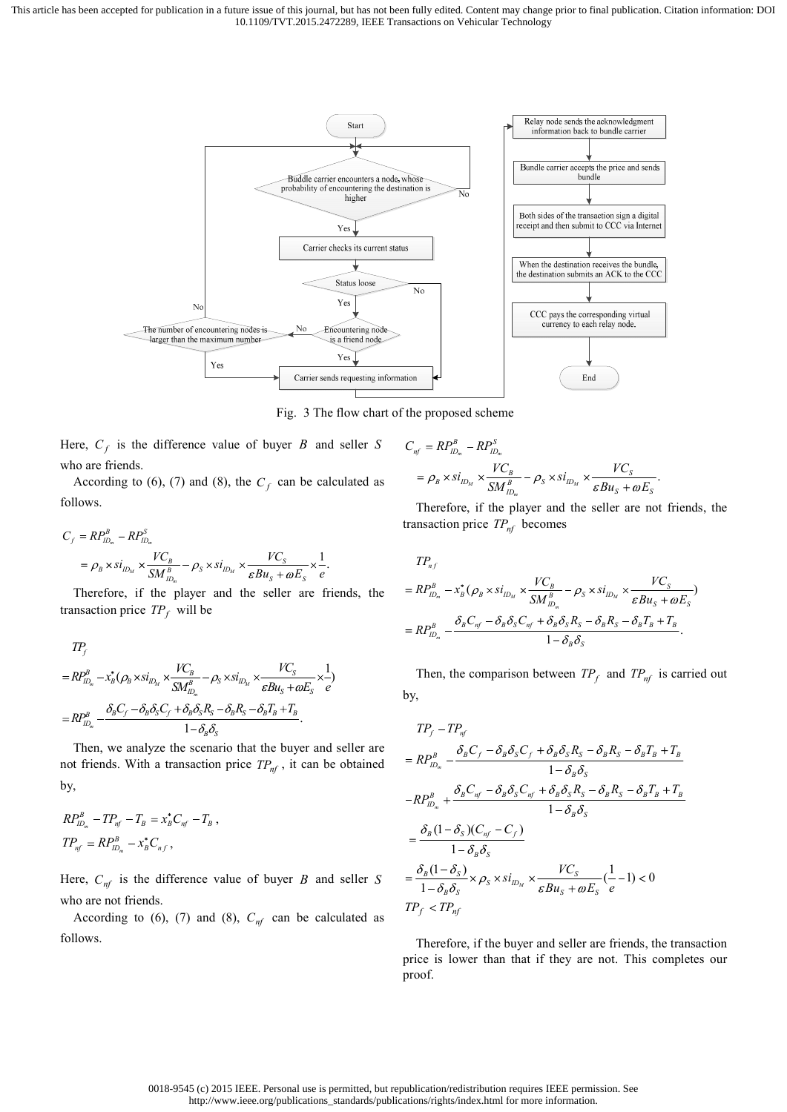This article has been accepted for publication in a future issue of this journal, but has not been fully edited. Content may change prior to final publication. Citation information: DOI 10.1109/TVT.2015.2472289, IEEE Transactions on Vehicular Technology



Fig. 3 The flow chart of the proposed scheme

Here,  $C_f$  is the difference value of buyer *B* and seller *S* who are friends.

According to (6), (7) and (8), the  $C_f$  can be calculated as follows.

$$
C_f = RP_{D_m}^B - RP_{D_m}^S
$$
  
=  $\rho_B \times si_{D_M} \times \frac{VC_B}{SM_{D_m}^B} - \rho_S \times si_{D_M} \times \frac{VC_S}{\varepsilon Bu_S + \omega E_S} \times \frac{1}{e}$ .

Therefore, if the player and the seller are friends, the transaction price  $TP_f$  will be

$$
TP_f
$$
  
=  $RP_{m_m}^B - x_B^* (\rho_B \times s i_{m_M} \times \frac{V C_B}{S M_{m_m}^B} - \rho_S \times s i_{m_M} \times \frac{V C_S}{\varepsilon B u_S + \omega E_S} \times \frac{1}{e})$   
=  $RP_{m_m}^B - \frac{\delta_B C_f - \delta_B \delta_S C_f + \delta_B \delta_S R_S - \delta_B R_S - \delta_B T_B + T_B}{1 - \delta_B \delta_S}.$ 

Then, we analyze the scenario that the buyer and seller are not friends. With a transaction price *TPnf* , it can be obtained by,

$$
RP_{ID_m}^B - TP_{nf} - T_B = x_B^* C_{nf} - T_B,
$$
  
\n
$$
TP_{nf} = RP_{ID_m}^B - x_B^* C_{nf},
$$

Here,  $C_{nf}$  is the difference value of buyer *B* and seller *S* who are not friends.

According to  $(6)$ ,  $(7)$  and  $(8)$ ,  $C_{nf}$  can be calculated as follows.

$$
C_{nf} = RP_{ID_m}^B - RP_{ID_m}^S
$$
  
=  $\rho_B \times si_{ID_M} \times \frac{VC_B}{SM_{ID_m}^B} - \rho_S \times si_{ID_M} \times \frac{VC_S}{\varepsilon Bu_S + \omega E_S}.$ 

Therefore, if the player and the seller are not friends, the transaction price *TPnf* becomes

$$
TP_{n_f}
$$
  
=  $RP_{ID_m}^B - x_B^* (\rho_B \times si_{ID_M} \times \frac{VC_B}{SM_{ID_m}^B} - \rho_S \times si_{ID_M} \times \frac{VC_S}{\varepsilon Bu_S + \omega E_S}$   
=  $RP_{ID_m}^B - \frac{\delta_B C_{nf} - \delta_B \delta_S C_{nf} + \delta_B \delta_S R_S - \delta_B R_S - \delta_B T_B + T_B}{1 - \delta_B \delta_S}.$ 

Then, the comparison between  $TP_f$  and  $TP_{nf}$  is carried out by,

$$
TP_f - TP_{nf}
$$
  
=  $RP_{ID_m}^B - \frac{\delta_B C_f - \delta_B \delta_S C_f + \delta_B \delta_S R_S - \delta_B R_S - \delta_B T_B + T_B}{1 - \delta_B \delta_S}$   
-  $RP_{ID_m}^B + \frac{\delta_B C_{nf} - \delta_B \delta_S C_{nf} + \delta_B \delta_S R_S - \delta_B R_S - \delta_B T_B + T_B}{1 - \delta_B \delta_S}$   
=  $\frac{\delta_B (1 - \delta_S)(C_{nf} - C_f)}{1 - \delta_B \delta_S}$   
=  $\frac{\delta_B (1 - \delta_S)}{1 - \delta_B \delta_S} \times \rho_S \times s i_{ID_M} \times \frac{VC_S}{\varepsilon B u_S + \omega E_S} (\frac{1}{\varepsilon} - 1) < 0$   
TP<sub>f</sub>  $<$ TP<sub>nf</sub>

Therefore, if the buyer and seller are friends, the transaction price is lower than that if they are not. This completes our proof.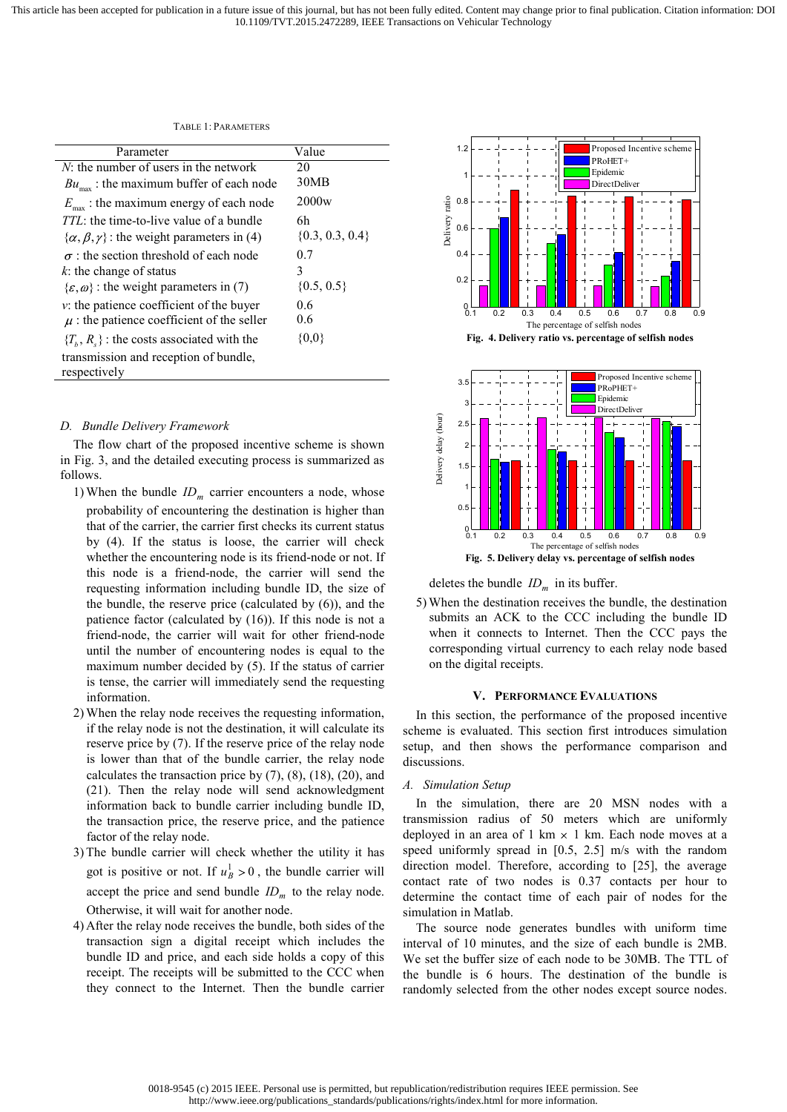This article has been accepted for publication in a future issue of this journal, but has not been fully edited. Content may change prior to final publication. Citation information: DOI 10.1109/TVT.2015.2472289, IEEE Transactions on Vehicular Technology

| Parameter                                                  | Value               |
|------------------------------------------------------------|---------------------|
| $N$ : the number of users in the network                   | 20                  |
| $Bu_{\text{max}}$ : the maximum buffer of each node        | 30MB                |
| $E_{\text{max}}$ : the maximum energy of each node         | 2000 <sub>w</sub>   |
| <i>TTL</i> : the time-to-live value of a bundle            | 6h                  |
| $\{\alpha, \beta, \gamma\}$ : the weight parameters in (4) | $\{0.3, 0.3, 0.4\}$ |
| $\sigma$ : the section threshold of each node              | 07                  |
| $k$ : the change of status                                 | 3                   |
| $\{\varepsilon,\omega\}$ : the weight parameters in (7)    | $\{0.5, 0.5\}$      |
| $\nu$ : the patience coefficient of the buyer              | 06                  |
| $\mu$ : the patience coefficient of the seller             | 0.6                 |
| ${Tb, Rs}$ : the costs associated with the                 | ${0,0}$             |
| transmission and reception of bundle,                      |                     |
| respectively                                               |                     |
|                                                            |                     |

#### TABLE 1: PARAMETERS

## *D. Bundle Delivery Framework*

The flow chart of the proposed incentive scheme is shown in Fig. 3, and the detailed executing process is summarized as follows.

- 1) When the bundle  $ID_m$  carrier encounters a node, whose probability of encountering the destination is higher than that of the carrier, the carrier first checks its current status by (4). If the status is loose, the carrier will check whether the encountering node is its friend-node or not. If this node is a friend-node, the carrier will send the requesting information including bundle ID, the size of the bundle, the reserve price (calculated by (6)), and the patience factor (calculated by (16)). If this node is not a friend-node, the carrier will wait for other friend-node until the number of encountering nodes is equal to the maximum number decided by (5). If the status of carrier is tense, the carrier will immediately send the requesting information.
- 2) When the relay node receives the requesting information, if the relay node is not the destination, it will calculate its reserve price by (7). If the reserve price of the relay node is lower than that of the bundle carrier, the relay node calculates the transaction price by  $(7)$ ,  $(8)$ ,  $(18)$ ,  $(20)$ , and (21). Then the relay node will send acknowledgment information back to bundle carrier including bundle ID, the transaction price, the reserve price, and the patience factor of the relay node.
- 3) The bundle carrier will check whether the utility it has got is positive or not. If  $u^1_B > 0$ , the bundle carrier will accept the price and send bundle  $ID_m$  to the relay node. Otherwise, it will wait for another node.
- 4) After the relay node receives the bundle, both sides of the transaction sign a digital receipt which includes the bundle ID and price, and each side holds a copy of this receipt. The receipts will be submitted to the CCC when they connect to the Internet. Then the bundle carrier





deletes the bundle  $ID_m$  in its buffer.

5) When the destination receives the bundle, the destination submits an ACK to the CCC including the bundle ID when it connects to Internet. Then the CCC pays the corresponding virtual currency to each relay node based on the digital receipts.

#### **V. PERFORMANCE EVALUATIONS**

In this section, the performance of the proposed incentive scheme is evaluated. This section first introduces simulation setup, and then shows the performance comparison and discussions.

## *A. Simulation Setup*

In the simulation, there are 20 MSN nodes with a transmission radius of 50 meters which are uniformly deployed in an area of 1 km  $\times$  1 km. Each node moves at a speed uniformly spread in [0.5, 2.5] m/s with the random direction model. Therefore, according to [25], the average contact rate of two nodes is 0.37 contacts per hour to determine the contact time of each pair of nodes for the simulation in Matlab.

The source node generates bundles with uniform time interval of 10 minutes, and the size of each bundle is 2MB. We set the buffer size of each node to be 30MB. The TTL of the bundle is 6 hours. The destination of the bundle is randomly selected from the other nodes except source nodes.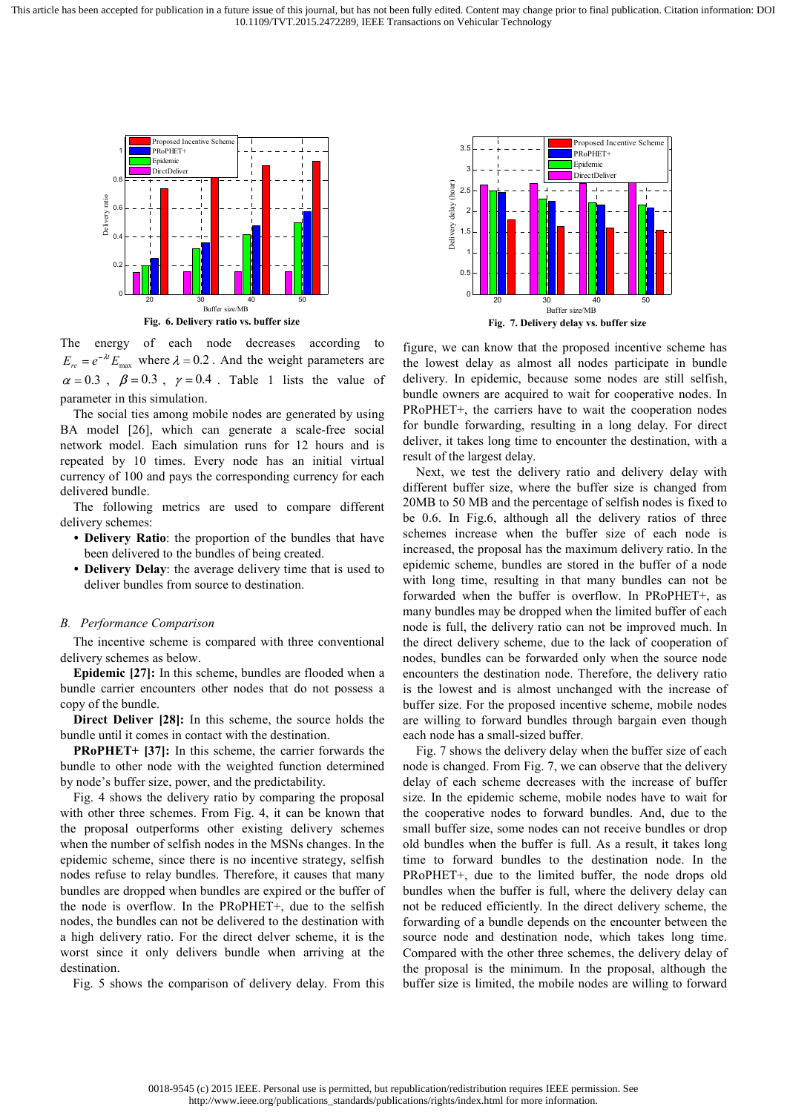This article has been accepted for publication in a future issue of this journal, but has not been fully edited. Content may change prior to final publication. Citation information: DOI 10.1109/TVT.2015.2472289, IEEE Transactions on Vehicular Technology



The energy of each node decreases according to  $E_{re} = e^{-\lambda t} E_{max}$  where  $\lambda = 0.2$ . And the weight parameters are  $\alpha = 0.3$ ,  $\beta = 0.3$ ,  $\gamma = 0.4$ . Table 1 lists the value of parameter in this simulation.

The social ties among mobile nodes are generated by using BA model [26], which can generate a scale-free social network model. Each simulation runs for 12 hours and is repeated by 10 times. Every node has an initial virtual currency of 100 and pays the corresponding currency for each delivered bundle.

The following metrics are used to compare different delivery schemes:

- **Delivery Ratio**: the proportion of the bundles that have been delivered to the bundles of being created.
- **Delivery Delay**: the average delivery time that is used to deliver bundles from source to destination.

## *B. Performance Comparison*

The incentive scheme is compared with three conventional delivery schemes as below.

**Epidemic [27]:** In this scheme, bundles are flooded when a bundle carrier encounters other nodes that do not possess a copy of the bundle.

**Direct Deliver [28]:** In this scheme, the source holds the bundle until it comes in contact with the destination.

**PRoPHET+ [37]:** In this scheme, the carrier forwards the bundle to other node with the weighted function determined by node's buffer size, power, and the predictability.

Fig. 4 shows the delivery ratio by comparing the proposal with other three schemes. From Fig. 4, it can be known that the proposal outperforms other existing delivery schemes when the number of selfish nodes in the MSNs changes. In the epidemic scheme, since there is no incentive strategy, selfish nodes refuse to relay bundles. Therefore, it causes that many bundles are dropped when bundles are expired or the buffer of the node is overflow. In the PRoPHET+, due to the selfish nodes, the bundles can not be delivered to the destination with a high delivery ratio. For the direct delver scheme, it is the worst since it only delivers bundle when arriving at the destination.

Fig. 5 shows the comparison of delivery delay. From this



figure, we can know that the proposed incentive scheme has the lowest delay as almost all nodes participate in bundle delivery. In epidemic, because some nodes are still selfish, bundle owners are acquired to wait for cooperative nodes. In PRoPHET+, the carriers have to wait the cooperation nodes for bundle forwarding, resulting in a long delay. For direct deliver, it takes long time to encounter the destination, with a result of the largest delay.

Next, we test the delivery ratio and delivery delay with different buffer size, where the buffer size is changed from 20MB to 50 MB and the percentage of selfish nodes is fixed to be 0.6. In Fig.6, although all the delivery ratios of three schemes increase when the buffer size of each node is increased, the proposal has the maximum delivery ratio. In the epidemic scheme, bundles are stored in the buffer of a node with long time, resulting in that many bundles can not be forwarded when the buffer is overflow. In PRoPHET+, as many bundles may be dropped when the limited buffer of each node is full, the delivery ratio can not be improved much. In the direct delivery scheme, due to the lack of cooperation of nodes, bundles can be forwarded only when the source node encounters the destination node. Therefore, the delivery ratio is the lowest and is almost unchanged with the increase of buffer size. For the proposed incentive scheme, mobile nodes are willing to forward bundles through bargain even though each node has a small-sized buffer.

Fig. 7 shows the delivery delay when the buffer size of each node is changed. From Fig. 7, we can observe that the delivery delay of each scheme decreases with the increase of buffer size. In the epidemic scheme, mobile nodes have to wait for the cooperative nodes to forward bundles. And, due to the small buffer size, some nodes can not receive bundles or drop old bundles when the buffer is full. As a result, it takes long time to forward bundles to the destination node. In the PRoPHET+, due to the limited buffer, the node drops old bundles when the buffer is full, where the delivery delay can not be reduced efficiently. In the direct delivery scheme, the forwarding of a bundle depends on the encounter between the source node and destination node, which takes long time. Compared with the other three schemes, the delivery delay of the proposal is the minimum. In the proposal, although the buffer size is limited, the mobile nodes are willing to forward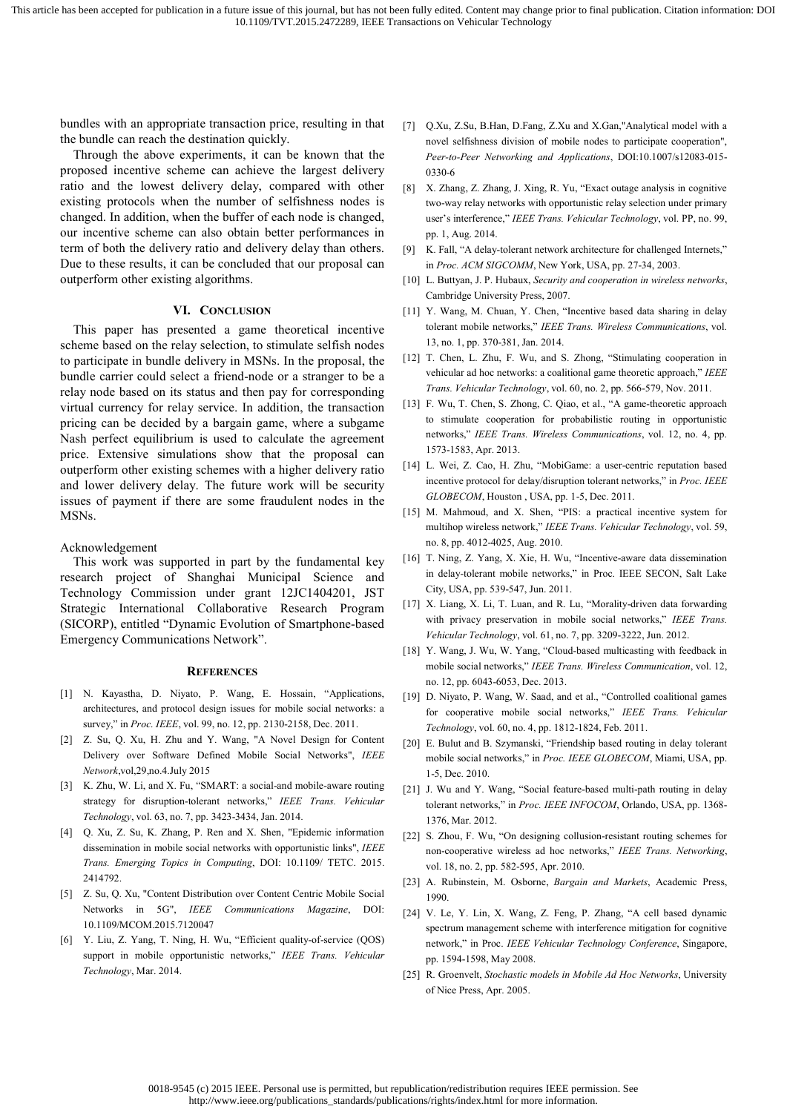bundles with an appropriate transaction price, resulting in that the bundle can reach the destination quickly.

Through the above experiments, it can be known that the proposed incentive scheme can achieve the largest delivery ratio and the lowest delivery delay, compared with other existing protocols when the number of selfishness nodes is changed. In addition, when the buffer of each node is changed, our incentive scheme can also obtain better performances in term of both the delivery ratio and delivery delay than others. Due to these results, it can be concluded that our proposal can outperform other existing algorithms.

## **VI. CONCLUSION**

This paper has presented a game theoretical incentive scheme based on the relay selection, to stimulate selfish nodes to participate in bundle delivery in MSNs. In the proposal, the bundle carrier could select a friend-node or a stranger to be a relay node based on its status and then pay for corresponding virtual currency for relay service. In addition, the transaction pricing can be decided by a bargain game, where a subgame Nash perfect equilibrium is used to calculate the agreement price. Extensive simulations show that the proposal can outperform other existing schemes with a higher delivery ratio and lower delivery delay. The future work will be security issues of payment if there are some fraudulent nodes in the MSNs.

# Acknowledgement

This work was supported in part by the fundamental key research project of Shanghai Municipal Science and Technology Commission under grant 12JC1404201, JST Strategic International Collaborative Research Program (SICORP), entitled "Dynamic Evolution of Smartphone-based Emergency Communications Network".

## **REFERENCES**

- [1] N. Kayastha, D. Niyato, P. Wang, E. Hossain, "Applications, architectures, and protocol design issues for mobile social networks: a survey,"in *Proc. IEEE*, vol. 99, no. 12, pp. 2130-2158, Dec. 2011.
- [2] Z. Su, Q. Xu, H. Zhu and Y. Wang, "A Novel Design for Content Delivery over Software Defined Mobile Social Networks", *IEEE Network*,vol,29,no.4.July 2015
- [3] K. Zhu, W. Li, and X. Fu, "SMART: a social-and mobile-aware routing strategy for disruption-tolerant networks," *IEEE Trans. Vehicular Technology*, vol. 63, no. 7, pp. 3423-3434, Jan. 2014.
- [4] Q. Xu, Z. Su, K. Zhang, P. Ren and X. Shen, "Epidemic information dissemination in mobile social networks with opportunistic links", *IEEE Trans. Emerging Topics in Computing*, DOI: 10.1109/ TETC. 2015. 2414792.
- [5] Z. Su, Q. Xu, "Content Distribution over Content Centric Mobile Social Networks in 5G", *IEEE Communications Magazine*, DOI: 10.1109/MCOM.2015.7120047
- [6] Y. Liu, Z. Yang, T. Ning, H. Wu, "Efficient quality-of-service (QOS) support in mobile opportunistic networks," *IEEE Trans. Vehicular Technology*, Mar. 2014.
- [7] Q.Xu, Z.Su, B.Han, D.Fang, Z.Xu and X.Gan,"Analytical model with a novel selfishness division of mobile nodes to participate cooperation", *Peer-to-Peer Networking and Applications*, DOI:10.1007/s12083-015- 0330-6
- [8] X. Zhang, Z. Zhang, J. Xing, R. Yu, "Exact outage analysis in cognitive two-way relay networks with opportunistic relay selection under primary user's interference,"*IEEE Trans. Vehicular Technology*, vol. PP, no. 99, pp. 1, Aug. 2014.
- [9] K. Fall, "A delay-tolerant network architecture for challenged Internets," in *Proc. ACM SIGCOMM*, New York, USA, pp. 27-34, 2003.
- [10] L. Buttyan, J. P. Hubaux, *Security and cooperation in wireless networks*, Cambridge University Press, 2007.
- [11] Y. Wang, M. Chuan, Y. Chen, "Incentive based data sharing in delay tolerant mobile networks,"*IEEE Trans. Wireless Communications*, vol. 13, no. 1, pp. 370-381, Jan. 2014.
- [12] T. Chen, L. Zhu, F. Wu, and S. Zhong, "Stimulating cooperation in vehicular ad hoc networks: a coalitional game theoretic approach,"*IEEE Trans. Vehicular Technology*, vol. 60, no. 2, pp. 566-579, Nov. 2011.
- [13] F. Wu, T. Chen, S. Zhong, C. Qiao, et al., "A game-theoretic approach to stimulate cooperation for probabilistic routing in opportunistic networks,"*IEEE Trans. Wireless Communications*, vol. 12, no. 4, pp. 1573-1583, Apr. 2013.
- [14] L. Wei, Z. Cao, H. Zhu, "MobiGame: a user-centric reputation based incentive protocol for delay/disruption tolerant networks,"in *Proc. IEEE GLOBECOM*, Houston , USA, pp. 1-5, Dec. 2011.
- [15] M. Mahmoud, and X. Shen, "PIS: a practical incentive system for multihop wireless network,"*IEEE Trans. Vehicular Technology*, vol. 59, no. 8, pp. 4012-4025, Aug. 2010.
- [16] T. Ning, Z. Yang, X. Xie, H. Wu, "Incentive-aware data dissemination in delay-tolerant mobile networks,"in Proc. IEEE SECON, Salt Lake City, USA, pp. 539-547, Jun. 2011.
- [17] X. Liang, X. Li, T. Luan, and R. Lu, "Morality-driven data forwarding with privacy preservation in mobile social networks," *IEEE Trans. Vehicular Technology*, vol. 61, no. 7, pp. 3209-3222, Jun. 2012.
- [18] Y. Wang, J. Wu, W. Yang, "Cloud-based multicasting with feedback in mobile social networks,"*IEEE Trans. Wireless Communication*, vol. 12, no. 12, pp. 6043-6053, Dec. 2013.
- [19] D. Niyato, P. Wang, W. Saad, and et al., "Controlled coalitional games for cooperative mobile social networks," *IEEE Trans. Vehicular Technology*, vol. 60, no. 4, pp. 1812-1824, Feb. 2011.
- [20] E. Bulut and B. Szymanski, "Friendship based routing in delay tolerant mobile social networks,"in *Proc. IEEE GLOBECOM*, Miami, USA, pp. 1-5, Dec. 2010.
- [21] J. Wu and Y. Wang, "Social feature-based multi-path routing in delay tolerant networks,"in *Proc. IEEE INFOCOM*, Orlando, USA, pp. 1368- 1376, Mar. 2012.
- [22] S. Zhou, F. Wu, "On designing collusion-resistant routing schemes for non-cooperative wireless ad hoc networks,"*IEEE Trans. Networking*, vol. 18, no. 2, pp. 582-595, Apr. 2010.
- [23] A. Rubinstein, M. Osborne, *Bargain and Markets*, Academic Press, 1990.
- [24] V. Le, Y. Lin, X. Wang, Z. Feng, P. Zhang, "A cell based dynamic spectrum management scheme with interference mitigation for cognitive network,"in Proc. *IEEE Vehicular Technology Conference*, Singapore, pp. 1594-1598, May 2008.
- [25] R. Groenvelt, *Stochastic models in Mobile Ad Hoc Networks*, University of Nice Press, Apr. 2005.